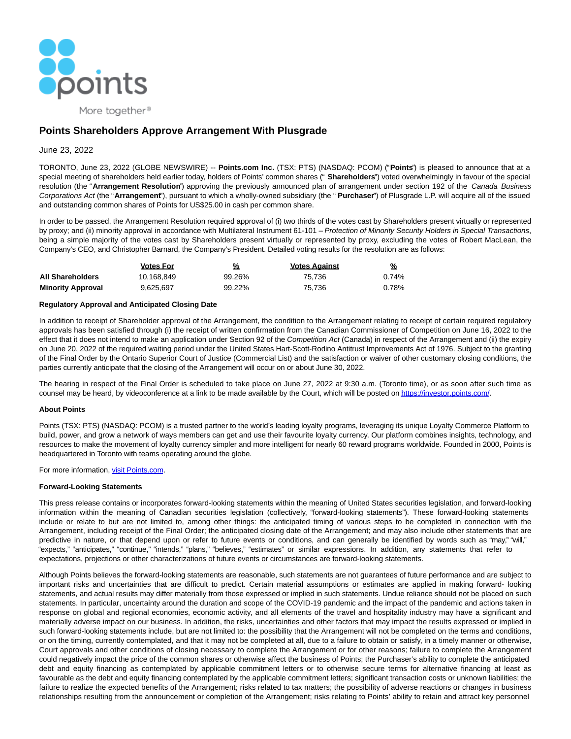

More together<sup>®</sup>

# **Points Shareholders Approve Arrangement With Plusgrade**

# June 23, 2022

TORONTO, June 23, 2022 (GLOBE NEWSWIRE) -- **Points.com Inc.** (TSX: PTS) (NASDAQ: PCOM) ("**Points**") is pleased to announce that at a special meeting of shareholders held earlier today, holders of Points' common shares (" **Shareholders**") voted overwhelmingly in favour of the special resolution (the "**Arrangement Resolution**") approving the previously announced plan of arrangement under section 192 of the Canada Business Corporations Act (the "**Arrangement**"), pursuant to which a wholly-owned subsidiary (the " **Purchaser**") of Plusgrade L.P. will acquire all of the issued and outstanding common shares of Points for US\$25.00 in cash per common share.

In order to be passed, the Arrangement Resolution required approval of (i) two thirds of the votes cast by Shareholders present virtually or represented by proxy; and (ii) minority approval in accordance with Multilateral Instrument 61-101 – Protection of Minority Security Holders in Special Transactions, being a simple majority of the votes cast by Shareholders present virtually or represented by proxy, excluding the votes of Robert MacLean, the Company's CEO, and Christopher Barnard, the Company's President. Detailed voting results for the resolution are as follows:

|                          | <b>Votes For</b> | %      | <b>Votes Against</b> | %        |
|--------------------------|------------------|--------|----------------------|----------|
| All Shareholders         | 10.168.849       | 99.26% | 75.736               | $0.74\%$ |
| <b>Minority Approval</b> | 9.625.697        | 99.22% | 75.736               | 0.78%    |

# **Regulatory Approval and Anticipated Closing Date**

In addition to receipt of Shareholder approval of the Arrangement, the condition to the Arrangement relating to receipt of certain required regulatory approvals has been satisfied through (i) the receipt of written confirmation from the Canadian Commissioner of Competition on June 16, 2022 to the effect that it does not intend to make an application under Section 92 of the Competition Act (Canada) in respect of the Arrangement and (ii) the expiry on June 20, 2022 of the required waiting period under the United States Hart-Scott-Rodino Antitrust Improvements Act of 1976. Subject to the granting of the Final Order by the Ontario Superior Court of Justice (Commercial List) and the satisfaction or waiver of other customary closing conditions, the parties currently anticipate that the closing of the Arrangement will occur on or about June 30, 2022.

The hearing in respect of the Final Order is scheduled to take place on June 27, 2022 at 9:30 a.m. (Toronto time), or as soon after such time as counsel may be heard, by videoconference at a link to be made available by the Court, which will be posted o[n https://investor.points.com/.](https://www.globenewswire.com/Tracker?data=w31DywFzCKOSHlkBmOHGZSQFhujeYuqbPJlTUpeuAbgQI7Gnj3qHSQiOcdlde71AO2X6dU9K_gQ16wkOtRjGio8SGjLTGd9ibDMY90vmqwk=)

#### **About Points**

Points (TSX: PTS) (NASDAQ: PCOM) is a trusted partner to the world's leading loyalty programs, leveraging its unique Loyalty Commerce Platform to build, power, and grow a network of ways members can get and use their favourite loyalty currency. Our platform combines insights, technology, and resources to make the movement of loyalty currency simpler and more intelligent for nearly 60 reward programs worldwide. Founded in 2000, Points is headquartered in Toronto with teams operating around the globe.

For more information[, visit Points.com.](https://www.globenewswire.com/Tracker?data=HHz5yjU6QQTKnSThQmB-GdJ6OMYbOm_-n5PQBXodMW0ZlpjQF7omEr8oR-CqezV4fybv97LeZYOt8oOmu6SYLA==)

# **Forward-Looking Statements**

This press release contains or incorporates forward-looking statements within the meaning of United States securities legislation, and forward-looking information within the meaning of Canadian securities legislation (collectively, "forward-looking statements"). These forward-looking statements include or relate to but are not limited to, among other things: the anticipated timing of various steps to be completed in connection with the Arrangement, including receipt of the Final Order; the anticipated closing date of the Arrangement; and may also include other statements that are predictive in nature, or that depend upon or refer to future events or conditions, and can generally be identified by words such as "may," "will," "expects," "anticipates," "continue," "intends," "plans," "believes," "estimates" or similar expressions. In addition, any statements that refer to expectations, projections or other characterizations of future events or circumstances are forward-looking statements.

Although Points believes the forward-looking statements are reasonable, such statements are not guarantees of future performance and are subject to important risks and uncertainties that are difficult to predict. Certain material assumptions or estimates are applied in making forward- looking statements, and actual results may differ materially from those expressed or implied in such statements. Undue reliance should not be placed on such statements. In particular, uncertainty around the duration and scope of the COVID-19 pandemic and the impact of the pandemic and actions taken in response on global and regional economies, economic activity, and all elements of the travel and hospitality industry may have a significant and materially adverse impact on our business. In addition, the risks, uncertainties and other factors that may impact the results expressed or implied in such forward-looking statements include, but are not limited to: the possibility that the Arrangement will not be completed on the terms and conditions, or on the timing, currently contemplated, and that it may not be completed at all, due to a failure to obtain or satisfy, in a timely manner or otherwise, Court approvals and other conditions of closing necessary to complete the Arrangement or for other reasons; failure to complete the Arrangement could negatively impact the price of the common shares or otherwise affect the business of Points; the Purchaser's ability to complete the anticipated debt and equity financing as contemplated by applicable commitment letters or to otherwise secure terms for alternative financing at least as favourable as the debt and equity financing contemplated by the applicable commitment letters; significant transaction costs or unknown liabilities; the failure to realize the expected benefits of the Arrangement; risks related to tax matters; the possibility of adverse reactions or changes in business relationships resulting from the announcement or completion of the Arrangement; risks relating to Points' ability to retain and attract key personnel